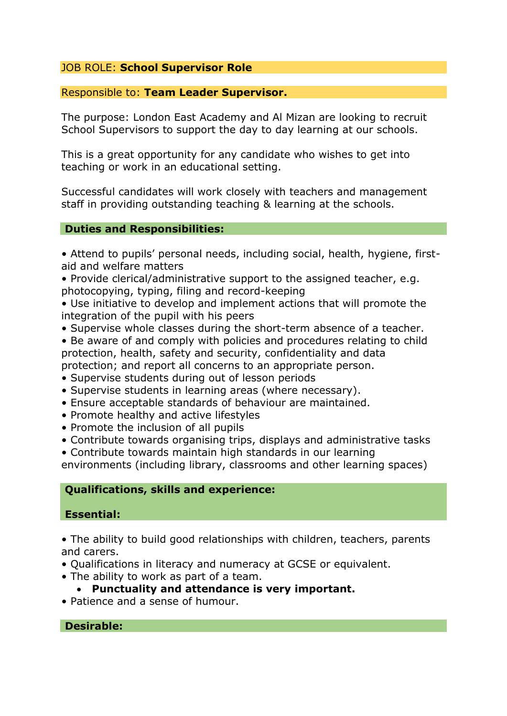### JOB ROLE: **School Supervisor Role**

#### Responsible to: **Team Leader Supervisor.**

The purpose: London East Academy and Al Mizan are looking to recruit School Supervisors to support the day to day learning at our schools.

This is a great opportunity for any candidate who wishes to get into teaching or work in an educational setting.

Successful candidates will work closely with teachers and management staff in providing outstanding teaching & learning at the schools.

### **Duties and Responsibilities:**

• Attend to pupils' personal needs, including social, health, hygiene, firstaid and welfare matters

• Provide clerical/administrative support to the assigned teacher, e.g. photocopying, typing, filing and record-keeping

• Use initiative to develop and implement actions that will promote the integration of the pupil with his peers

- Supervise whole classes during the short-term absence of a teacher.
- Be aware of and comply with policies and procedures relating to child protection, health, safety and security, confidentiality and data protection; and report all concerns to an appropriate person.
- Supervise students during out of lesson periods
- Supervise students in learning areas (where necessary).
- Ensure acceptable standards of behaviour are maintained.
- Promote healthy and active lifestyles
- Promote the inclusion of all pupils
- Contribute towards organising trips, displays and administrative tasks
- Contribute towards maintain high standards in our learning

environments (including library, classrooms and other learning spaces)

# **Qualifications, skills and experience:**

### **Essential:**

• The ability to build good relationships with children, teachers, parents and carers.

- Qualifications in literacy and numeracy at GCSE or equivalent.
- The ability to work as part of a team.
	- **Punctuality and attendance is very important.**
- Patience and a sense of humour.

# **Desirable:**